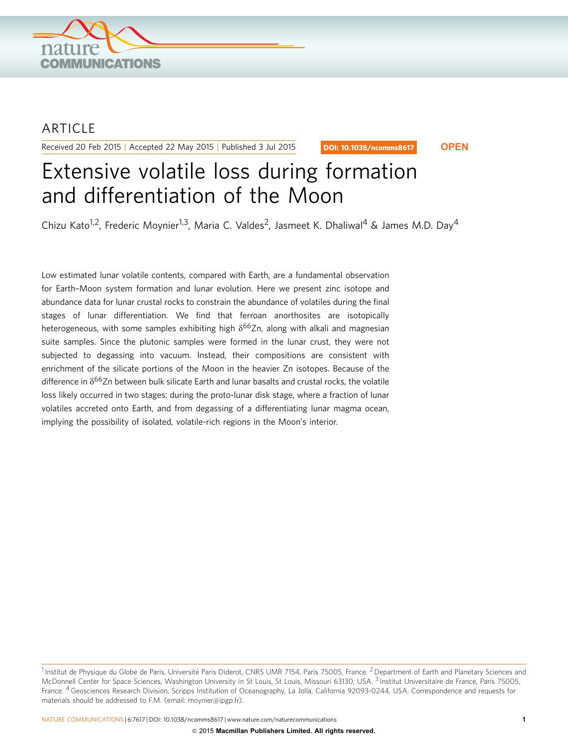

## ARTICLE

Received 20 Feb 2015 | Accepted 22 May 2015 | Published 3 Jul 2015

DOI: 10.1038/ncomms8617 **OPEN**

# Extensive volatile loss during formation and differentiation of the Moon

Chizu Kato<sup>1,2</sup>, Frederic Moynier<sup>1,3</sup>, Maria C. Valdes<sup>2</sup>, Jasmeet K. Dhaliwal<sup>4</sup> & James M.D. Day<sup>4</sup>

Low estimated lunar volatile contents, compared with Earth, are a fundamental observation for Earth–Moon system formation and lunar evolution. Here we present zinc isotope and abundance data for lunar crustal rocks to constrain the abundance of volatiles during the final stages of lunar differentiation. We find that ferroan anorthosites are isotopically heterogeneous, with some samples exhibiting high  $\delta^{66}Z$ n, along with alkali and magnesian suite samples. Since the plutonic samples were formed in the lunar crust, they were not subjected to degassing into vacuum. Instead, their compositions are consistent with enrichment of the silicate portions of the Moon in the heavier Zn isotopes. Because of the difference in  $\delta^{66}$ Zn between bulk silicate Earth and lunar basalts and crustal rocks, the volatile loss likely occurred in two stages: during the proto-lunar disk stage, where a fraction of lunar volatiles accreted onto Earth, and from degassing of a differentiating lunar magma ocean, implying the possibility of isolated, volatile-rich regions in the Moon's interior.

 $1$ Institut de Physique du Globe de Paris, Université Paris Diderot, CNRS UMR 7154, Paris 75005, France. <sup>2</sup> Department of Earth and Planetary Sciences and McDonnell Center for Space Sciences, Washington University in St Louis, St Louis, Missouri 63130, USA. <sup>3</sup> Institut Universitaire de France, Paris 75005, France. 4Geosciences Research Division, Scripps Institution of Oceanography, La Jolla, California 92093-0244, USA. Correspondence and requests for materials should be addressed to F.M. (email: [moynier@ipgp.fr\)](mailto:moynier@ipgp.fr).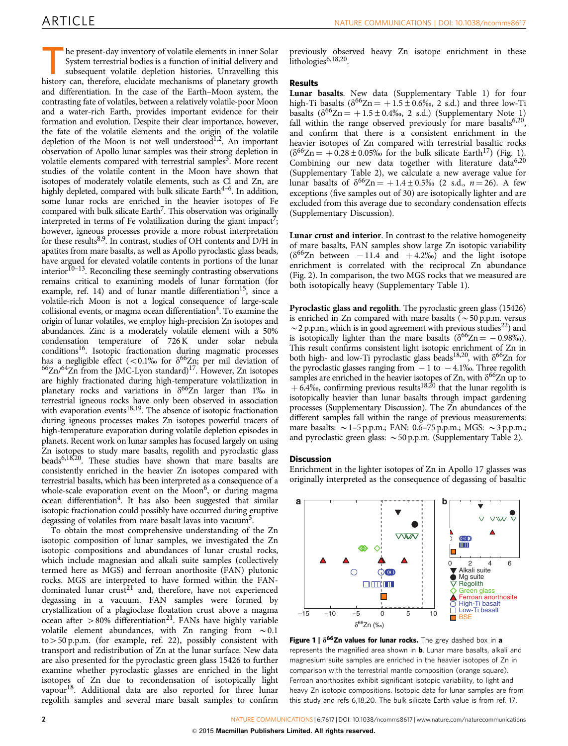he present-day inventory of volatile elements in inner Solar System terrestrial bodies is a function of initial delivery and subsequent volatile depletion histories. Unravelling this history can, therefore, elucidate mechanisms of planetary growth and differentiation. In the case of the Earth–Moon system, the contrasting fate of volatiles, between a relatively volatile-poor Moon and a water-rich Earth, provides important evidence for their formation and evolution. Despite their clear importance, however, the fate of the volatile elements and the origin of the volatile depletion of the Moon is not well understood<sup>[1,2](#page-3-0)</sup>. An important observation of Apollo lunar samples was their strong depletion in volatile elements compared with terrestrial samples<sup>[3](#page-3-0)</sup>. More recent studies of the volatile content in the Moon have shown that isotopes of moderately volatile elements, such as Cl and Zn, are highly depleted, compared with bulk silicate Earth<sup>4-6</sup>. In addition, some lunar rocks are enriched in the heavier isotopes of Fe compared with bulk silicate Earth<sup>7</sup>. This observation was originally interpreted in terms of Fe volatilization during the giant impact<sup>7</sup>; however, igneous processes provide a more robust interpretation for these results<sup>8,9</sup>. In contrast, studies of OH contents and D/H in apatites from mare basalts, as well as Apollo pyroclastic glass beads, have argued for elevated volatile contents in portions of the lunar interior $^{10-13}$ . Reconciling these seemingly contrasting observations remains critical to examining models of lunar formation (for example, [ref. 14](#page-3-0)) and of lunar mantle differentiation<sup>15</sup>, since a volatile-rich Moon is not a logical consequence of large-scale collisional events, or magma ocean differentiation<sup>4</sup>. To examine the origin of lunar volatiles, we employ high-precision Zn isotopes and abundances. Zinc is a moderately volatile element with a 50% condensation temperature of 726 K under solar nebula conditions<sup>16</sup>. Isotopic fractionation during magmatic processes has a negligible effect (<0.1% for  $\delta^{66}Zn$ ; per mil deviation of  $^{66}$ Zn/<sup>64</sup>Zn from the JMC-Lyon standard)<sup>17</sup>. However, Zn isotopes are highly fractionated during high-temperature volatilization in planetary rocks and variations in  $\delta^{66}Zn$  larger than 1% in terrestrial igneous rocks have only been observed in association with evaporation events $18,19$ . The absence of isotopic fractionation with evaporation events  $18,19$ . during igneous processes makes Zn isotopes powerful tracers of high-temperature evaporation during volatile depletion episodes in planets. Recent work on lunar samples has focused largely on using Zn isotopes to study mare basalts, regolith and pyroclastic glass beads<sup>6,18,20</sup>. These studies have shown that mare basalts are consistently enriched in the heavier Zn isotopes compared with terrestrial basalts, which has been interpreted as a consequence of a whole-scale evaporation event on the Moon<sup>[6](#page-3-0)</sup>, or during magma ocean differentiation<sup>[4](#page-3-0)</sup>. It has also been suggested that similar isotopic fractionation could possibly have occurred during eruptive degassing of volatiles from mare basalt lavas into vacuum<sup>[5](#page-3-0)</sup>.

To obtain the most comprehensive understanding of the Zn isotopic composition of lunar samples, we investigated the Zn isotopic compositions and abundances of lunar crustal rocks, which include magnesian and alkali suite samples (collectively termed here as MGS) and ferroan anorthosite (FAN) plutonic rocks. MGS are interpreted to have formed within the FAN-dominated lunar crust<sup>[21](#page-3-0)</sup> and, therefore, have not experienced degassing in a vacuum. FAN samples were formed by crystallization of a plagioclase floatation crust above a magma ocean after  $>80\%$  differentiation<sup>[21](#page-3-0)</sup>. FANs have highly variable volatile element abundances, with Zn ranging from  $\sim 0.1$ to > 50 p.p.m. (for example, [ref. 22](#page-3-0)), possibly consistent with transport and redistribution of Zn at the lunar surface. New data are also presented for the pyroclastic green glass 15426 to further examine whether pyroclastic glasses are enriched in the light isotopes of Zn due to recondensation of isotopically light vapou[r18](#page-3-0). Additional data are also reported for three lunar regolith samples and several mare basalt samples to confirm

previously observed heavy Zn isotope enrichment in these lithologies<sup>6,18,20</sup>

### Results

Lunar basalts. New data (Supplementary Table 1) for four high-Ti basalts ( $\delta^{66}Zn = +1.5\pm0.6\%$ , 2 s.d.) and three low-Ti basalts ( $\delta^{66}Zn = +1.5 \pm 0.4\%$ , 2 s.d.) (Supplementary Note 1) fall within the range observed previously for mare basalts<sup>6,20</sup>, and confirm that there is a consistent enrichment in the heavier isotopes of Zn compared with terrestrial basaltic rocks  $(\delta^{66}Zn = +0.28 \pm 0.05\%$  for the bulk silicate Earth<sup>17</sup>) (Fig. 1). Combining our new data together with literature data $6,20$ (Supplementary Table 2), we calculate a new average value for lunar basalts of  $\delta^{66}Zn = +1.4 \pm 0.5\%$  (2 s.d.,  $n = 26$ ). A few exceptions (five samples out of 30) are isotopically lighter and are excluded from this average due to secondary condensation effects (Supplementary Discussion).

Lunar crust and interior. In contrast to the relative homogeneity of mare basalts, FAN samples show large Zn isotopic variability  $(\delta^{66}Zn$  between -11.4 and +4.2%) and the light isotope enrichment is correlated with the reciprocal Zn abundance ([Fig. 2\)](#page-2-0). In comparison, the two MGS rocks that we measured are both isotopically heavy (Supplementary Table 1).

Pyroclastic glass and regolith. The pyroclastic green glass (15426) is enriched in Zn compared with mare basalts ( $\sim$  50 p.p.m. versus  $\sim$  2 p.p.m., which is in good agreement with previous studies<sup>22</sup>) and is isotopically lighter than the mare basalts ( $\delta^{66}Zn = -0.98\%$ ). This result confirms consistent light isotopic enrichment of Zn in both high- and low-Ti pyroclastic glass beads<sup>18,20</sup>, with  $\delta^{66}$ Zn for the pyroclastic glasses ranging from  $-1$  to  $-4.1%$ . Three regolith samples are enriched in the heavier isotopes of Zn, with  $\delta^{66}$ Zn up to  $+6.4\%$ , confirming previous results<sup>18,20</sup> that the lunar regolith is isotopically heavier than lunar basalts through impact gardening processes (Supplementary Discussion). The Zn abundances of the different samples fall within the range of previous measurements: mare basalts:  $\sim$  1–5 p.p.m.; FAN: 0.6–75 p.p.m.; MGS:  $\sim$  3 p.p.m.; and pyroclastic green glass:  $\sim$  50 p.p.m. (Supplementary Table 2).

#### **Discussion**

Enrichment in the lighter isotopes of Zn in Apollo 17 glasses was originally interpreted as the consequence of degassing of basaltic



Figure 1 |  $\delta^{66}$ Zn values for lunar rocks. The grey dashed box in a represents the magnified area shown in **b**. Lunar mare basalts, alkali and magnesium suite samples are enriched in the heavier isotopes of Zn in comparison with the terrestrial mantle composition (orange square). Ferroan anorthosites exhibit significant isotopic variability, to light and heavy Zn isotopic compositions. Isotopic data for lunar samples are from this study and [refs 6,18,20](#page-3-0). The bulk silicate Earth value is from [ref. 17.](#page-3-0)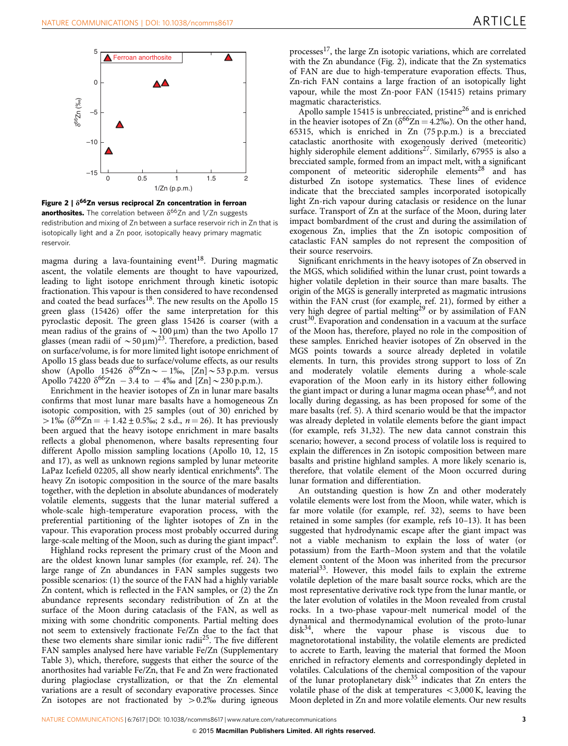<span id="page-2-0"></span>



magma during a lava-fountaining event<sup>18</sup>. During magmatic ascent, the volatile elements are thought to have vapourized, leading to light isotope enrichment through kinetic isotopic fractionation. This vapour is then considered to have recondensed and coated the bead surfaces<sup>18</sup>. The new results on the Apollo 15 green glass (15426) offer the same interpretation for this pyroclastic deposit. The green glass 15426 is coarser (with a mean radius of the grains of  $\sim$  100 µm) than the two Apollo 17 glasses (mean radii of  $\sim$  50  $\mu$ m)<sup>23</sup>. Therefore, a prediction, based on surface/volume, is for more limited light isotope enrichment of Apollo 15 glass beads due to surface/volume effects, as our results show (Apollo 15426  $\delta^{66} \text{Zn} \sim -1\%$ , [Zn] ~53 p.p.m. versus Apollo 74220  $\delta^{66}$ Zn – 3.4 to – 4‰ and [Zn] ~ 230 p.p.m.).

Enrichment in the heavier isotopes of Zn in lunar mare basalts confirms that most lunar mare basalts have a homogeneous Zn isotopic composition, with 25 samples (out of 30) enriched by  $> 1\%$  ( $\delta^{66}Zn = +1.42 \pm 0.5\%$ ; 2 s.d.,  $n = 26$ ). It has previously been argued that the heavy isotope enrichment in mare basalts reflects a global phenomenon, where basalts representing four different Apollo mission sampling locations (Apollo 10, 12, 15 and 17), as well as unknown regions sampled by lunar meteorite LaPaz Icefield 02205, all show nearly identical enrichments<sup>[6](#page-3-0)</sup>. The heavy Zn isotopic composition in the source of the mare basalts together, with the depletion in absolute abundances of moderately volatile elements, suggests that the lunar material suffered a whole-scale high-temperature evaporation process, with the preferential partitioning of the lighter isotopes of Zn in the vapour. This evaporation process most probably occurred during large-scale melting of the Moon, such as during the giant impact<sup>6</sup>.

Highland rocks represent the primary crust of the Moon and are the oldest known lunar samples (for example, [ref. 24\)](#page-3-0). The large range of Zn abundances in FAN samples suggests two possible scenarios: (1) the source of the FAN had a highly variable Zn content, which is reflected in the FAN samples, or (2) the Zn abundance represents secondary redistribution of Zn at the surface of the Moon during cataclasis of the FAN, as well as mixing with some chondritic components. Partial melting does not seem to extensively fractionate Fe/Zn due to the fact that these two elements share similar ionic radii<sup>25</sup>. The five different FAN samples analysed here have variable Fe/Zn (Supplementary Table 3), which, therefore, suggests that either the source of the anorthosites had variable Fe/Zn, that Fe and Zn were fractionated during plagioclase crystallization, or that the Zn elemental variations are a result of secondary evaporative processes. Since Zn isotopes are not fractionated by  $> 0.2\%$  during igneous

processes<sup>[17](#page-3-0)</sup>, the large Zn isotopic variations, which are correlated with the Zn abundance (Fig. 2), indicate that the Zn systematics of FAN are due to high-temperature evaporation effects. Thus, Zn-rich FAN contains a large fraction of an isotopically light vapour, while the most Zn-poor FAN (15415) retains primary magmatic characteristics.

Apollo sample 15415 is unbrecciated, pristine<sup>26</sup> and is enriched in the heavier isotopes of Zn  $(\delta^{66}Zn = 4.2\%)$ . On the other hand, 65315, which is enriched in Zn (75 p.p.m.) is a brecciated cataclastic anorthosite with exogenously derived (meteoritic) highly siderophile element additions<sup>27</sup>. Similarly, 67955 is also a brecciated sample, formed from an impact melt, with a significant component of meteoritic siderophile elements<sup>[28](#page-3-0)</sup> and has disturbed Zn isotope systematics. These lines of evidence indicate that the brecciated samples incorporated isotopically light Zn-rich vapour during cataclasis or residence on the lunar surface. Transport of Zn at the surface of the Moon, during later impact bombardment of the crust and during the assimilation of exogenous Zn, implies that the Zn isotopic composition of cataclastic FAN samples do not represent the composition of their source reservoirs.

Significant enrichments in the heavy isotopes of Zn observed in the MGS, which solidified within the lunar crust, point towards a higher volatile depletion in their source than mare basalts. The origin of the MGS is generally interpreted as magmatic intrusions within the FAN crust (for example, [ref. 21](#page-3-0)), formed by either a very high degree of partial melting<sup>[29](#page-3-0)</sup> or by assimilation of FAN crust<sup>[30](#page-3-0)</sup>. Evaporation and condensation in a vacuum at the surface of the Moon has, therefore, played no role in the composition of these samples. Enriched heavier isotopes of Zn observed in the MGS points towards a source already depleted in volatile elements. In turn, this provides strong support to loss of Zn and moderately volatile elements during a whole-scale evaporation of the Moon early in its history either following the giant impact or during a lunar magma ocean phase<sup>[4,6](#page-3-0)</sup>, and not locally during degassing, as has been proposed for some of the mare basalts [\(ref. 5\)](#page-3-0). A third scenario would be that the impactor was already depleted in volatile elements before the giant impact (for example, [refs 31,32](#page-3-0)). The new data cannot constrain this scenario; however, a second process of volatile loss is required to explain the differences in Zn isotopic composition between mare basalts and pristine highland samples. A more likely scenario is, therefore, that volatile element of the Moon occurred during lunar formation and differentiation.

An outstanding question is how Zn and other moderately volatile elements were lost from the Moon, while water, which is far more volatile (for example, [ref. 32\)](#page-3-0), seems to have been retained in some samples (for example, [refs 10–13\)](#page-3-0). It has been suggested that hydrodynamic escape after the giant impact was not a viable mechanism to explain the loss of water (or potassium) from the Earth–Moon system and that the volatile element content of the Moon was inherited from the precursor material<sup>33</sup>. However, this model fails to explain the extreme volatile depletion of the mare basalt source rocks, which are the most representative derivative rock type from the lunar mantle, or the later evolution of volatiles in the Moon revealed from crustal rocks. In a two-phase vapour-melt numerical model of the dynamical and thermodynamical evolution of the proto-lunar disk[34](#page-3-0), where the vapour phase is viscous due to magnetorotational instability, the volatile elements are predicted to accrete to Earth, leaving the material that formed the Moon enriched in refractory elements and correspondingly depleted in volatiles. Calculations of the chemical composition of the vapour of the lunar protoplanetary disk $35$  indicates that Zn enters the volatile phase of the disk at temperatures  $<$  3,000 K, leaving the Moon depleted in Zn and more volatile elements. Our new results